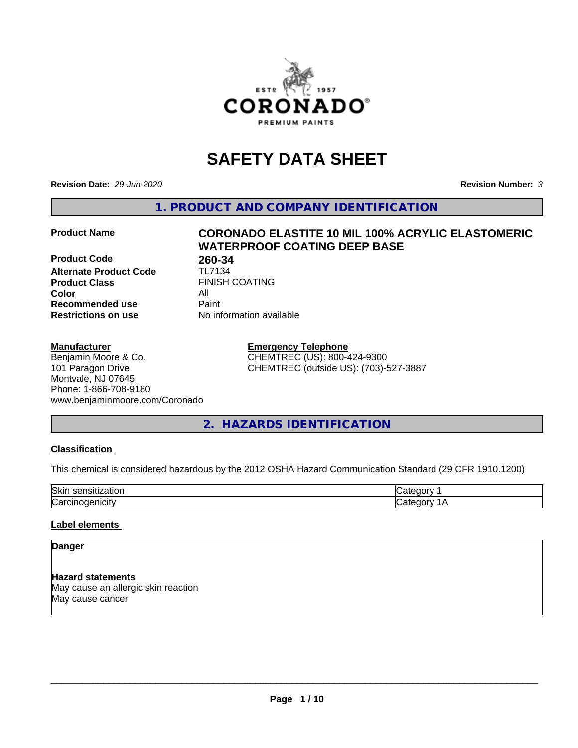

# **SAFETY DATA SHEET**

**Revision Date:** *29-Jun-2020* **Revision Number:** *3*

**1. PRODUCT AND COMPANY IDENTIFICATION**

**Product Code 18 180-34**<br>**Alternate Product Code** 11-7134 **Alternate Product Code Product Class** FINISH COATING<br> **Color Color** All **Recommended use** Paint **Restrictions on use** No information available

# **Product Name CORONADO ELASTITE 10 MIL 100% ACRYLIC ELASTOMERIC WATERPROOF COATING DEEP BASE**

#### **Manufacturer**

Benjamin Moore & Co. 101 Paragon Drive Montvale, NJ 07645 Phone: 1-866-708-9180 www.benjaminmoore.com/Coronado

#### **Emergency Telephone** CHEMTREC (US): 800-424-9300 CHEMTREC (outside US): (703)-527-3887

**2. HAZARDS IDENTIFICATION**

#### **Classification**

This chemical is considered hazardous by the 2012 OSHA Hazard Communication Standard (29 CFR 1910.1200)

| הורי'<br>OК |  |
|-------------|--|
| ∽           |  |

#### **Label elements**

# **Danger**

**Hazard statements** May cause an allergic skin reaction May cause cancer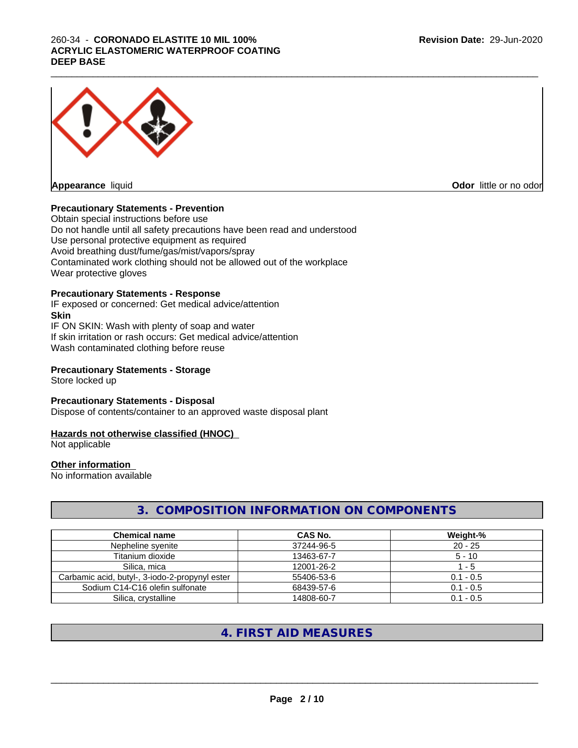#### $\_$  ,  $\_$  ,  $\_$  ,  $\_$  ,  $\_$  ,  $\_$  ,  $\_$  ,  $\_$  ,  $\_$  ,  $\_$  ,  $\_$  ,  $\_$  ,  $\_$  ,  $\_$  ,  $\_$  ,  $\_$  ,  $\_$  ,  $\_$  ,  $\_$  ,  $\_$  ,  $\_$  ,  $\_$  ,  $\_$  ,  $\_$  ,  $\_$  ,  $\_$  ,  $\_$  ,  $\_$  ,  $\_$  ,  $\_$  ,  $\_$  ,  $\_$  ,  $\_$  ,  $\_$  ,  $\_$  ,  $\_$  ,  $\_$  , 260-34 - **CORONADO ELASTITE 10 MIL 100% ACRYLIC ELASTOMERIC WATERPROOF COATING DEEP BASE**



# **Precautionary Statements - Prevention**

Obtain special instructions before use Do not handle until all safety precautions have been read and understood Use personal protective equipment as required Avoid breathing dust/fume/gas/mist/vapors/spray Contaminated work clothing should not be allowed out of the workplace Wear protective gloves

#### **Precautionary Statements - Response**

IF exposed or concerned: Get medical advice/attention **Skin** IF ON SKIN: Wash with plenty of soap and water

If skin irritation or rash occurs: Get medical advice/attention Wash contaminated clothing before reuse

# **Precautionary Statements - Storage**

Store locked up

#### **Precautionary Statements - Disposal**

Dispose of contents/container to an approved waste disposal plant

#### **Hazards not otherwise classified (HNOC)**

Not applicable

# **Other information**

No information available

# **3. COMPOSITION INFORMATION ON COMPONENTS**

| <b>Chemical name</b>                           | CAS No.    | Weight-%    |
|------------------------------------------------|------------|-------------|
| Nepheline svenite                              | 37244-96-5 | $20 - 25$   |
| Titanium dioxide                               | 13463-67-7 | $5 - 10$    |
| Silica, mica                                   | 12001-26-2 | - 5         |
| Carbamic acid, butyl-, 3-iodo-2-propynyl ester | 55406-53-6 | $0.1 - 0.5$ |
| Sodium C14-C16 olefin sulfonate                | 68439-57-6 | $0.1 - 0.5$ |
| Silica, crystalline                            | 14808-60-7 | $0.1 - 0.5$ |

# **4. FIRST AID MEASURES**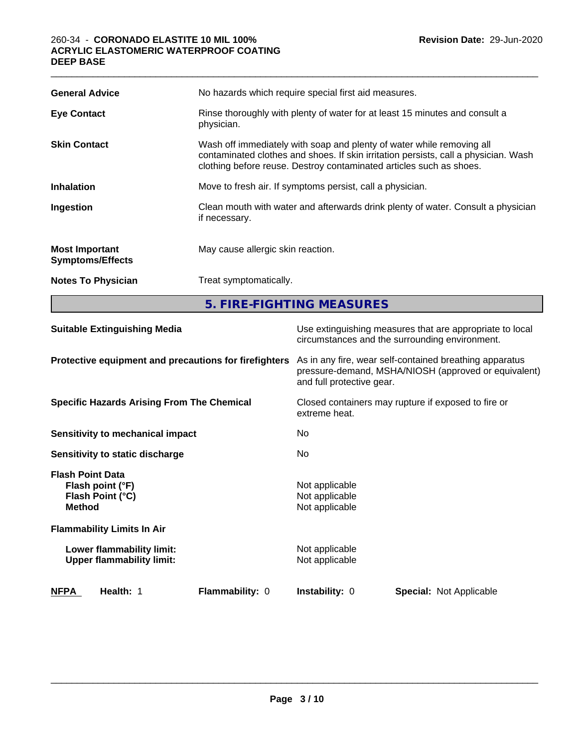| <b>General Advice</b>                            | No hazards which require special first aid measures.                                                                                                                                                                                |  |
|--------------------------------------------------|-------------------------------------------------------------------------------------------------------------------------------------------------------------------------------------------------------------------------------------|--|
| <b>Eye Contact</b>                               | Rinse thoroughly with plenty of water for at least 15 minutes and consult a<br>physician.                                                                                                                                           |  |
| <b>Skin Contact</b>                              | Wash off immediately with soap and plenty of water while removing all<br>contaminated clothes and shoes. If skin irritation persists, call a physician. Wash<br>clothing before reuse. Destroy contaminated articles such as shoes. |  |
| <b>Inhalation</b>                                | Move to fresh air. If symptoms persist, call a physician.                                                                                                                                                                           |  |
| Ingestion                                        | Clean mouth with water and afterwards drink plenty of water. Consult a physician<br>if necessary.                                                                                                                                   |  |
| <b>Most Important</b><br><b>Symptoms/Effects</b> | May cause allergic skin reaction.                                                                                                                                                                                                   |  |
| <b>Notes To Physician</b>                        | Treat symptomatically.                                                                                                                                                                                                              |  |
|                                                  | 5. FIRE-FIGHTING MEASURES                                                                                                                                                                                                           |  |

 $\_$  ,  $\_$  ,  $\_$  ,  $\_$  ,  $\_$  ,  $\_$  ,  $\_$  ,  $\_$  ,  $\_$  ,  $\_$  ,  $\_$  ,  $\_$  ,  $\_$  ,  $\_$  ,  $\_$  ,  $\_$  ,  $\_$  ,  $\_$  ,  $\_$  ,  $\_$  ,  $\_$  ,  $\_$  ,  $\_$  ,  $\_$  ,  $\_$  ,  $\_$  ,  $\_$  ,  $\_$  ,  $\_$  ,  $\_$  ,  $\_$  ,  $\_$  ,  $\_$  ,  $\_$  ,  $\_$  ,  $\_$  ,  $\_$  ,

| <b>Suitable Extinguishing Media</b>                                              | Use extinguishing measures that are appropriate to local<br>circumstances and the surrounding environment.                                   |
|----------------------------------------------------------------------------------|----------------------------------------------------------------------------------------------------------------------------------------------|
| Protective equipment and precautions for firefighters                            | As in any fire, wear self-contained breathing apparatus<br>pressure-demand, MSHA/NIOSH (approved or equivalent)<br>and full protective gear. |
| <b>Specific Hazards Arising From The Chemical</b>                                | Closed containers may rupture if exposed to fire or<br>extreme heat.                                                                         |
| Sensitivity to mechanical impact                                                 | No.                                                                                                                                          |
| Sensitivity to static discharge                                                  | No.                                                                                                                                          |
| <b>Flash Point Data</b><br>Flash point (°F)<br>Flash Point (°C)<br><b>Method</b> | Not applicable<br>Not applicable<br>Not applicable                                                                                           |
| <b>Flammability Limits In Air</b>                                                |                                                                                                                                              |
| Lower flammability limit:<br><b>Upper flammability limit:</b>                    | Not applicable<br>Not applicable                                                                                                             |
| NFPA<br>Health: 1<br><b>Flammability: 0</b>                                      | <b>Instability: 0</b><br><b>Special: Not Applicable</b>                                                                                      |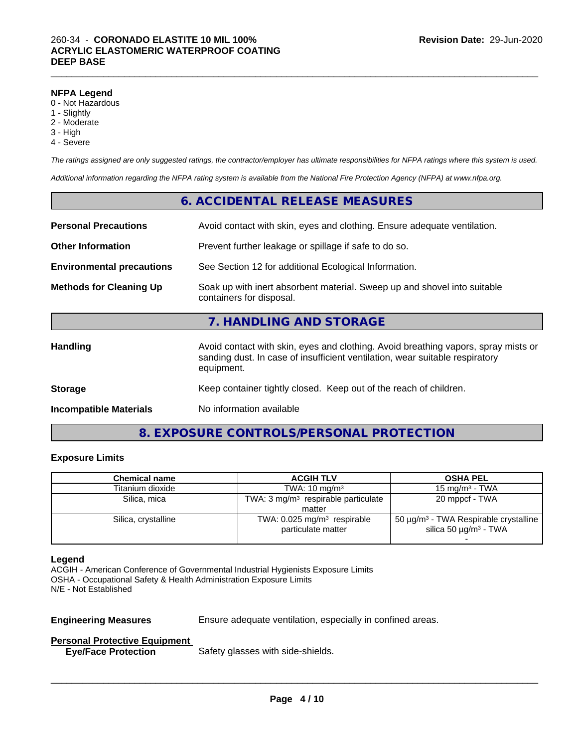#### **NFPA Legend**

- 0 Not Hazardous
- 1 Slightly
- 2 Moderate
- 3 High
- 4 Severe

*The ratings assigned are only suggested ratings, the contractor/employer has ultimate responsibilities for NFPA ratings where this system is used.*

*Additional information regarding the NFPA rating system is available from the National Fire Protection Agency (NFPA) at www.nfpa.org.*

|                                  | 6. ACCIDENTAL RELEASE MEASURES                                                                                                                                                   |
|----------------------------------|----------------------------------------------------------------------------------------------------------------------------------------------------------------------------------|
| <b>Personal Precautions</b>      | Avoid contact with skin, eyes and clothing. Ensure adequate ventilation.                                                                                                         |
| <b>Other Information</b>         | Prevent further leakage or spillage if safe to do so.                                                                                                                            |
| <b>Environmental precautions</b> | See Section 12 for additional Ecological Information.                                                                                                                            |
| <b>Methods for Cleaning Up</b>   | Soak up with inert absorbent material. Sweep up and shovel into suitable<br>containers for disposal.                                                                             |
|                                  | 7. HANDLING AND STORAGE                                                                                                                                                          |
| <b>Handling</b>                  | Avoid contact with skin, eyes and clothing. Avoid breathing vapors, spray mists or<br>sanding dust. In case of insufficient ventilation, wear suitable respiratory<br>equipment. |
| <b>Storage</b>                   | Keep container tightly closed. Keep out of the reach of children.                                                                                                                |
| <b>Incompatible Materials</b>    | No information available                                                                                                                                                         |

# **8. EXPOSURE CONTROLS/PERSONAL PROTECTION**

# **Exposure Limits**

| <b>Chemical name</b> | <b>ACGIH TLV</b>                                                | <b>OSHA PEL</b>                                                                                  |
|----------------------|-----------------------------------------------------------------|--------------------------------------------------------------------------------------------------|
| Titanium dioxide     | TWA: $10 \text{ mg/m}^3$                                        | 15 mg/m $3$ - TWA                                                                                |
| Silica, mica         | TWA: $3 \text{ mg/m}^3$ respirable particulate                  | 20 mppcf - TWA                                                                                   |
|                      | matter                                                          |                                                                                                  |
| Silica, crystalline  | TWA: $0.025$ mg/m <sup>3</sup> respirable<br>particulate matter | 50 $\mu$ g/m <sup>3</sup> - TWA Respirable crystalline<br>silica 50 $\mu$ g/m <sup>3</sup> - TWA |
|                      |                                                                 |                                                                                                  |

#### **Legend**

ACGIH - American Conference of Governmental Industrial Hygienists Exposure Limits OSHA - Occupational Safety & Health Administration Exposure Limits N/E - Not Established

**Engineering Measures** Ensure adequate ventilation, especially in confined areas.

 $\overline{\phantom{a}}$  ,  $\overline{\phantom{a}}$  ,  $\overline{\phantom{a}}$  ,  $\overline{\phantom{a}}$  ,  $\overline{\phantom{a}}$  ,  $\overline{\phantom{a}}$  ,  $\overline{\phantom{a}}$  ,  $\overline{\phantom{a}}$  ,  $\overline{\phantom{a}}$  ,  $\overline{\phantom{a}}$  ,  $\overline{\phantom{a}}$  ,  $\overline{\phantom{a}}$  ,  $\overline{\phantom{a}}$  ,  $\overline{\phantom{a}}$  ,  $\overline{\phantom{a}}$  ,  $\overline{\phantom{a}}$ 

### **Personal Protective Equipment**

**Eye/Face Protection** Safety glasses with side-shields.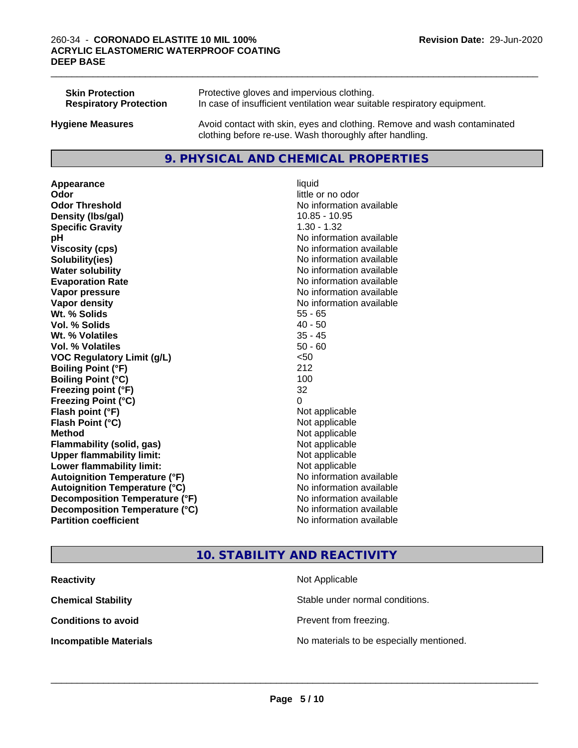| <b>Skin Protection</b>        | Protective gloves and impervious clothing.                                                                                          |
|-------------------------------|-------------------------------------------------------------------------------------------------------------------------------------|
| <b>Respiratory Protection</b> | In case of insufficient ventilation wear suitable respiratory equipment.                                                            |
| <b>Hygiene Measures</b>       | Avoid contact with skin, eyes and clothing. Remove and wash contaminated<br>clothing before re-use. Wash thoroughly after handling. |

# **9. PHYSICAL AND CHEMICAL PROPERTIES**

**Appearance** liquid **Odor** little or no odor **Odor Threshold No information available No information available Density (Ibs/gal)** 10.85 - 10.95 **Specific Gravity** 1.30 - 1.32 **pH pH**  $\blacksquare$ **Viscosity (cps)** No information available **Solubility(ies)** No information available **Water solubility Water solubility Water solubility Water solubility Water solubility Water solution Evaporation Rate No information available No information available Vapor pressure** No information available **No information** available **Vapor density Vapor density No information available Wt. % Solids** 55 - 65 **Vol. % Solids** 40 - 50 **Wt. % Volatiles** 35 - 45 **Vol. % Volatiles** 50 - 60 **VOC Regulatory Limit (g/L)** <50 **Boiling Point (°F)** 212 **Boiling Point (°C)** 100 **Freezing point (°F)** 32 **Freezing Point (°C)** 0 **Flash point (°F)** Not applicable **Flash Point (°C)** Not applicable **Method** Not applicable **Flammability (solid, gas)** Not applicable **Upper flammability limit:** Not applicable **Lower flammability limit:** Not applicable **Autoignition Temperature (°F)** No information available **Autoignition Temperature (°C)** No information available **Decomposition Temperature (°F)** No information available **Decomposition Temperature (°C)**<br> **Partition coefficient Partition coefficient 1 Partition available No information available** 

# **No information available**

 $\_$  ,  $\_$  ,  $\_$  ,  $\_$  ,  $\_$  ,  $\_$  ,  $\_$  ,  $\_$  ,  $\_$  ,  $\_$  ,  $\_$  ,  $\_$  ,  $\_$  ,  $\_$  ,  $\_$  ,  $\_$  ,  $\_$  ,  $\_$  ,  $\_$  ,  $\_$  ,  $\_$  ,  $\_$  ,  $\_$  ,  $\_$  ,  $\_$  ,  $\_$  ,  $\_$  ,  $\_$  ,  $\_$  ,  $\_$  ,  $\_$  ,  $\_$  ,  $\_$  ,  $\_$  ,  $\_$  ,  $\_$  ,  $\_$  ,

# **10. STABILITY AND REACTIVITY**

| <b>Reactivity</b>             | Not Applicable                           |
|-------------------------------|------------------------------------------|
| <b>Chemical Stability</b>     | Stable under normal conditions.          |
| <b>Conditions to avoid</b>    | Prevent from freezing.                   |
| <b>Incompatible Materials</b> | No materials to be especially mentioned. |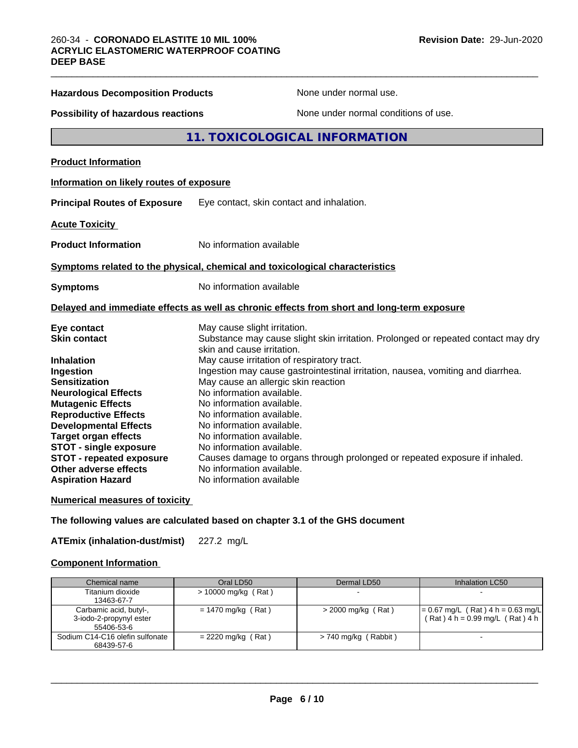| <b>Hazardous Decomposition Products</b>                                                                                                                                                                                                                                                                                                  | None under normal use.                                                                                                                                                                                                                                                                                                                                                                                                                                                                    |
|------------------------------------------------------------------------------------------------------------------------------------------------------------------------------------------------------------------------------------------------------------------------------------------------------------------------------------------|-------------------------------------------------------------------------------------------------------------------------------------------------------------------------------------------------------------------------------------------------------------------------------------------------------------------------------------------------------------------------------------------------------------------------------------------------------------------------------------------|
| <b>Possibility of hazardous reactions</b>                                                                                                                                                                                                                                                                                                | None under normal conditions of use.                                                                                                                                                                                                                                                                                                                                                                                                                                                      |
|                                                                                                                                                                                                                                                                                                                                          | 11. TOXICOLOGICAL INFORMATION                                                                                                                                                                                                                                                                                                                                                                                                                                                             |
| <b>Product Information</b>                                                                                                                                                                                                                                                                                                               |                                                                                                                                                                                                                                                                                                                                                                                                                                                                                           |
| Information on likely routes of exposure                                                                                                                                                                                                                                                                                                 |                                                                                                                                                                                                                                                                                                                                                                                                                                                                                           |
| <b>Principal Routes of Exposure</b>                                                                                                                                                                                                                                                                                                      | Eye contact, skin contact and inhalation.                                                                                                                                                                                                                                                                                                                                                                                                                                                 |
| <b>Acute Toxicity</b>                                                                                                                                                                                                                                                                                                                    |                                                                                                                                                                                                                                                                                                                                                                                                                                                                                           |
| <b>Product Information</b>                                                                                                                                                                                                                                                                                                               | No information available                                                                                                                                                                                                                                                                                                                                                                                                                                                                  |
|                                                                                                                                                                                                                                                                                                                                          | Symptoms related to the physical, chemical and toxicological characteristics                                                                                                                                                                                                                                                                                                                                                                                                              |
| <b>Symptoms</b>                                                                                                                                                                                                                                                                                                                          | No information available                                                                                                                                                                                                                                                                                                                                                                                                                                                                  |
|                                                                                                                                                                                                                                                                                                                                          | Delayed and immediate effects as well as chronic effects from short and long-term exposure                                                                                                                                                                                                                                                                                                                                                                                                |
| Eye contact<br><b>Skin contact</b>                                                                                                                                                                                                                                                                                                       | May cause slight irritation.<br>Substance may cause slight skin irritation. Prolonged or repeated contact may dry<br>skin and cause irritation.                                                                                                                                                                                                                                                                                                                                           |
| <b>Inhalation</b><br>Ingestion<br><b>Sensitization</b><br><b>Neurological Effects</b><br><b>Mutagenic Effects</b><br><b>Reproductive Effects</b><br><b>Developmental Effects</b><br><b>Target organ effects</b><br><b>STOT - single exposure</b><br><b>STOT - repeated exposure</b><br>Other adverse effects<br><b>Aspiration Hazard</b> | May cause irritation of respiratory tract.<br>Ingestion may cause gastrointestinal irritation, nausea, vomiting and diarrhea.<br>May cause an allergic skin reaction<br>No information available.<br>No information available.<br>No information available.<br>No information available.<br>No information available.<br>No information available.<br>Causes damage to organs through prolonged or repeated exposure if inhaled.<br>No information available.<br>No information available |

 $\_$  ,  $\_$  ,  $\_$  ,  $\_$  ,  $\_$  ,  $\_$  ,  $\_$  ,  $\_$  ,  $\_$  ,  $\_$  ,  $\_$  ,  $\_$  ,  $\_$  ,  $\_$  ,  $\_$  ,  $\_$  ,  $\_$  ,  $\_$  ,  $\_$  ,  $\_$  ,  $\_$  ,  $\_$  ,  $\_$  ,  $\_$  ,  $\_$  ,  $\_$  ,  $\_$  ,  $\_$  ,  $\_$  ,  $\_$  ,  $\_$  ,  $\_$  ,  $\_$  ,  $\_$  ,  $\_$  ,  $\_$  ,  $\_$  ,

# **Numerical measures of toxicity**

**The following values are calculated based on chapter 3.1 of the GHS document**

**ATEmix (inhalation-dust/mist)** 227.2 mg/L

# **Component Information**

| Chemical name                                                   | Oral LD50            | Dermal LD50              | Inhalation LC50                                                            |
|-----------------------------------------------------------------|----------------------|--------------------------|----------------------------------------------------------------------------|
| Titanium dioxide<br>13463-67-7                                  | > 10000 mg/kg (Rat)  | $\overline{\phantom{0}}$ |                                                                            |
| Carbamic acid, butyl-,<br>3-iodo-2-propynyl ester<br>55406-53-6 | $= 1470$ mg/kg (Rat) | $>$ 2000 mg/kg (Rat)     | $= 0.67$ mg/L (Rat) 4 h = 0.63 mg/L<br>$(Rat)$ 4 h = 0.99 mg/L $(Rat)$ 4 h |
| Sodium C14-C16 olefin sulfonate<br>68439-57-6                   | = 2220 mg/kg (Rat)   | > 740 mg/kg (Rabbit)     |                                                                            |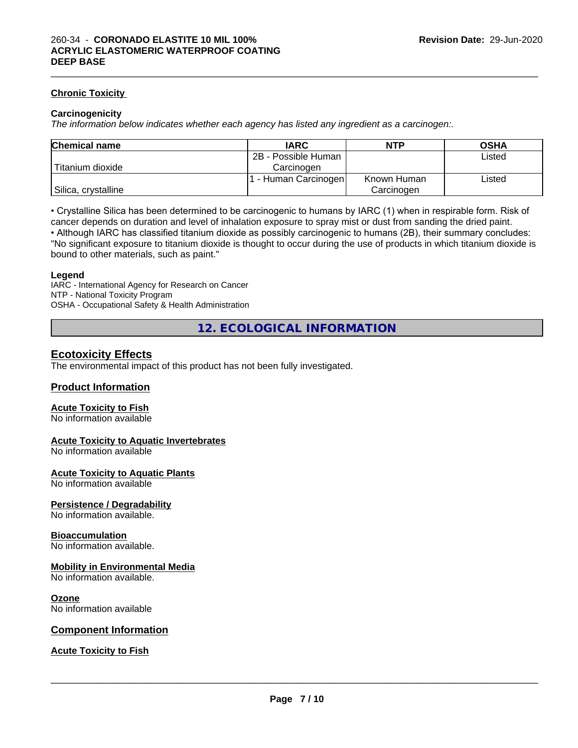#### **Chronic Toxicity**

#### **Carcinogenicity**

*The information below indicateswhether each agency has listed any ingredient as a carcinogen:.*

| <b>Chemical name</b> | <b>IARC</b>          | <b>NTP</b>  | <b>OSHA</b> |
|----------------------|----------------------|-------------|-------------|
|                      | 2B - Possible Human  |             | Listed      |
| Titanium dioxide     | Carcinoɑen           |             |             |
|                      | . - Human Carcinogen | Known Human | Listed      |
| Silica, crystalline  |                      | Carcinogen  |             |

• Crystalline Silica has been determined to be carcinogenic to humans by IARC (1) when in respirable form. Risk of cancer depends on duration and level of inhalation exposure to spray mist or dust from sanding the dried paint.

• Although IARC has classified titanium dioxide as possibly carcinogenic to humans (2B), their summary concludes: "No significant exposure to titanium dioxide is thought to occur during the use of products in which titanium dioxide is bound to other materials, such as paint."

#### **Legend**

IARC - International Agency for Research on Cancer NTP - National Toxicity Program OSHA - Occupational Safety & Health Administration

**12. ECOLOGICAL INFORMATION**

# **Ecotoxicity Effects**

The environmental impact of this product has not been fully investigated.

# **Product Information**

#### **Acute Toxicity to Fish**

No information available

#### **Acute Toxicity to Aquatic Invertebrates**

No information available

#### **Acute Toxicity to Aquatic Plants**

No information available

#### **Persistence / Degradability**

No information available.

#### **Bioaccumulation**

No information available.

#### **Mobility in Environmental Media**

No information available.

#### **Ozone**

No information available

#### **Component Information**

### **Acute Toxicity to Fish**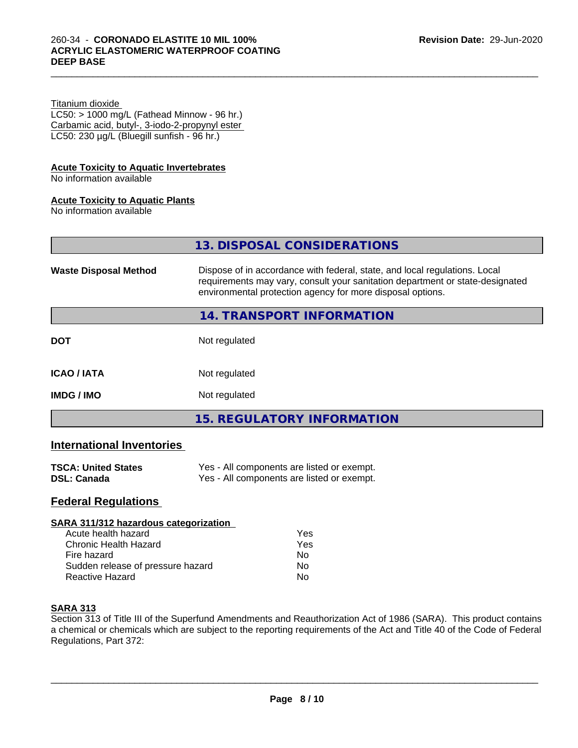#### Titanium dioxide

 $LC50:$  > 1000 mg/L (Fathead Minnow - 96 hr.) Carbamic acid, butyl-, 3-iodo-2-propynyl ester LC50: 230 µg/L (Bluegill sunfish - 96 hr.)

### **Acute Toxicity to Aquatic Invertebrates**

No information available

# **Acute Toxicity to Aquatic Plants**

No information available

|                              | 13. DISPOSAL CONSIDERATIONS                                                                                                                                                                                               |
|------------------------------|---------------------------------------------------------------------------------------------------------------------------------------------------------------------------------------------------------------------------|
| <b>Waste Disposal Method</b> | Dispose of in accordance with federal, state, and local regulations. Local<br>requirements may vary, consult your sanitation department or state-designated<br>environmental protection agency for more disposal options. |
|                              | 14. TRANSPORT INFORMATION                                                                                                                                                                                                 |
| <b>DOT</b>                   | Not regulated                                                                                                                                                                                                             |
| <b>ICAO/IATA</b>             | Not regulated                                                                                                                                                                                                             |
| <b>IMDG / IMO</b>            | Not regulated                                                                                                                                                                                                             |
|                              | <b>15. REGULATORY INFORMATION</b>                                                                                                                                                                                         |

# **International Inventories**

| <b>TSCA: United States</b> | Yes - All components are listed or exempt. |
|----------------------------|--------------------------------------------|
| <b>DSL: Canada</b>         | Yes - All components are listed or exempt. |

# **Federal Regulations**

| SARA 311/312 hazardous categorization |     |  |
|---------------------------------------|-----|--|
| Acute health hazard                   | Yes |  |
| Chronic Health Hazard                 | Yes |  |
| Fire hazard                           | Nο  |  |
| Sudden release of pressure hazard     | Nο  |  |
| <b>Reactive Hazard</b>                | No  |  |

#### **SARA 313**

Section 313 of Title III of the Superfund Amendments and Reauthorization Act of 1986 (SARA). This product contains a chemical or chemicals which are subject to the reporting requirements of the Act and Title 40 of the Code of Federal Regulations, Part 372: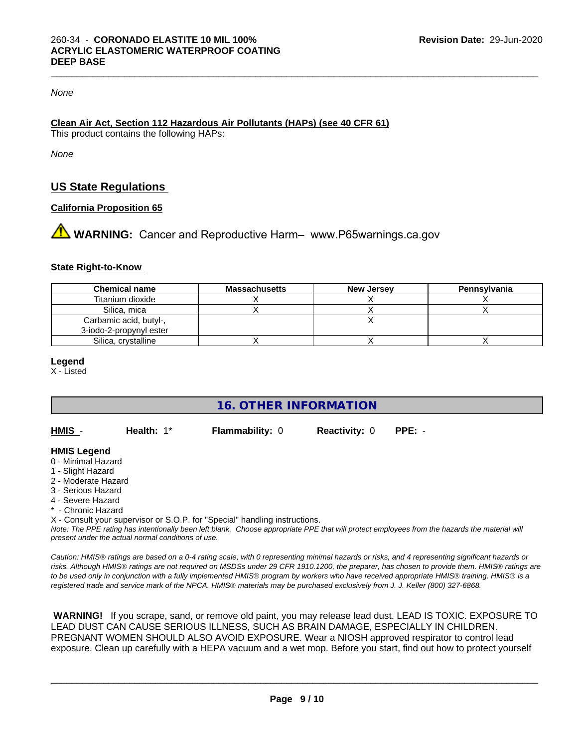### *None*

# **Clean Air Act,Section 112 Hazardous Air Pollutants (HAPs) (see 40 CFR 61)**

This product contains the following HAPs:

*None*

# **US State Regulations**

## **California Proposition 65**

**A** WARNING: Cancer and Reproductive Harm– www.P65warnings.ca.gov

## **State Right-to-Know**

| <b>Chemical name</b>    | <b>Massachusetts</b> | New Jersey | Pennsylvania |
|-------------------------|----------------------|------------|--------------|
| Titanium dioxide        |                      |            |              |
| Silica, mica            |                      |            |              |
| Carbamic acid, butyl-,  |                      |            |              |
| 3-iodo-2-propynyl ester |                      |            |              |
| Silica, crystalline     |                      |            |              |

**Legend**

X - Listed

**16. OTHER INFORMATION**

**HMIS** - **Health:** 1\* **Flammability:** 0 **Reactivity:** 0 **PPE:** -

#### **HMIS Legend**

- 0 Minimal Hazard
- 1 Slight Hazard
- 2 Moderate Hazard
- 3 Serious Hazard
- 4 Severe Hazard
- \* Chronic Hazard

X - Consult your supervisor or S.O.P. for "Special" handling instructions.

*Note: The PPE rating has intentionally been left blank. Choose appropriate PPE that will protect employees from the hazards the material will present under the actual normal conditions of use.*

*Caution: HMISÒ ratings are based on a 0-4 rating scale, with 0 representing minimal hazards or risks, and 4 representing significant hazards or risks. Although HMISÒ ratings are not required on MSDSs under 29 CFR 1910.1200, the preparer, has chosen to provide them. HMISÒ ratings are to be used only in conjunction with a fully implemented HMISÒ program by workers who have received appropriate HMISÒ training. HMISÒ is a registered trade and service mark of the NPCA. HMISÒ materials may be purchased exclusively from J. J. Keller (800) 327-6868.*

 **WARNING!** If you scrape, sand, or remove old paint, you may release lead dust. LEAD IS TOXIC. EXPOSURE TO LEAD DUST CAN CAUSE SERIOUS ILLNESS, SUCH AS BRAIN DAMAGE, ESPECIALLY IN CHILDREN. PREGNANT WOMEN SHOULD ALSO AVOID EXPOSURE.Wear a NIOSH approved respirator to control lead exposure. Clean up carefully with a HEPA vacuum and a wet mop. Before you start, find out how to protect yourself